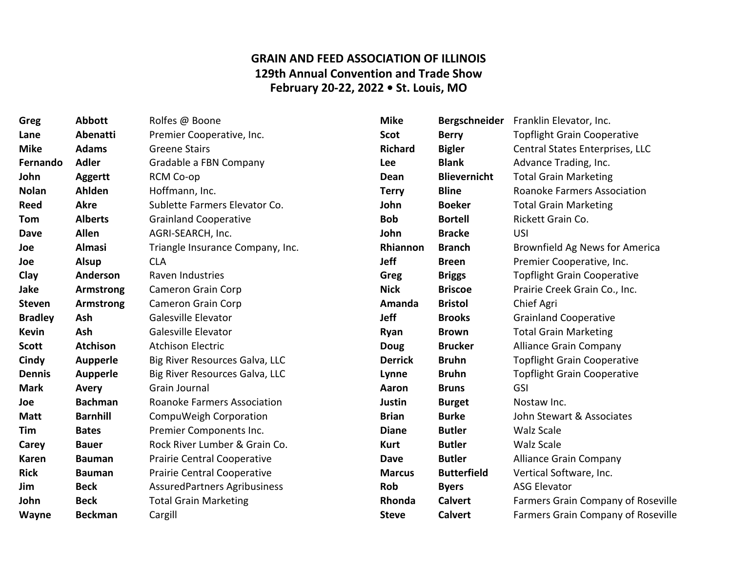## **GRAIN AND FEED ASSOCIATION OF ILLINOIS 129th Annual Convention and Trade Show February 20-22, 2022 • St. Louis, MO**

| Greg           | <b>Abbott</b>    | Rolfes @ Boone                      | <b>Mike</b>    | <b>Bergschneider</b> | Franklin Elevator, Inc.            |
|----------------|------------------|-------------------------------------|----------------|----------------------|------------------------------------|
| Lane           | Abenatti         | Premier Cooperative, Inc.           | <b>Scot</b>    | <b>Berry</b>         | <b>Topflight Grain Cooperative</b> |
| <b>Mike</b>    | <b>Adams</b>     | <b>Greene Stairs</b>                | <b>Richard</b> | <b>Bigler</b>        | Central States Enterprises, LLC    |
| Fernando       | <b>Adler</b>     | Gradable a FBN Company              | <b>Lee</b>     | <b>Blank</b>         | Advance Trading, Inc.              |
| John           | <b>Aggertt</b>   | RCM Co-op                           | Dean           | <b>Blievernicht</b>  | <b>Total Grain Marketing</b>       |
| <b>Nolan</b>   | Ahlden           | Hoffmann, Inc.                      | <b>Terry</b>   | <b>Bline</b>         | <b>Roanoke Farmers Association</b> |
| <b>Reed</b>    | <b>Akre</b>      | Sublette Farmers Elevator Co.       | John           | <b>Boeker</b>        | <b>Total Grain Marketing</b>       |
| Tom            | <b>Alberts</b>   | <b>Grainland Cooperative</b>        | <b>Bob</b>     | <b>Bortell</b>       | Rickett Grain Co.                  |
| <b>Dave</b>    | <b>Allen</b>     | AGRI-SEARCH, Inc.                   | John           | <b>Bracke</b>        | USI                                |
| Joe            | Almasi           | Triangle Insurance Company, Inc.    | Rhiannon       | <b>Branch</b>        | Brownfield Ag News for America     |
| Joe            | <b>Alsup</b>     | <b>CLA</b>                          | <b>Jeff</b>    | <b>Breen</b>         | Premier Cooperative, Inc.          |
| Clay           | Anderson         | Raven Industries                    | Greg           | <b>Briggs</b>        | <b>Topflight Grain Cooperative</b> |
| Jake           | <b>Armstrong</b> | Cameron Grain Corp                  | <b>Nick</b>    | <b>Briscoe</b>       | Prairie Creek Grain Co., Inc.      |
| Steven         | <b>Armstrong</b> | <b>Cameron Grain Corp</b>           | Amanda         | <b>Bristol</b>       | Chief Agri                         |
| <b>Bradley</b> | Ash              | Galesville Elevator                 | <b>Jeff</b>    | <b>Brooks</b>        | <b>Grainland Cooperative</b>       |
| <b>Kevin</b>   | Ash              | Galesville Elevator                 | Ryan           | <b>Brown</b>         | <b>Total Grain Marketing</b>       |
| <b>Scott</b>   | <b>Atchison</b>  | <b>Atchison Electric</b>            | <b>Doug</b>    | <b>Brucker</b>       | <b>Alliance Grain Company</b>      |
| Cindy          | <b>Aupperle</b>  | Big River Resources Galva, LLC      | <b>Derrick</b> | <b>Bruhn</b>         | <b>Topflight Grain Cooperative</b> |
| <b>Dennis</b>  | <b>Aupperle</b>  | Big River Resources Galva, LLC      | Lynne          | <b>Bruhn</b>         | <b>Topflight Grain Cooperative</b> |
| <b>Mark</b>    | <b>Avery</b>     | Grain Journal                       | Aaron          | <b>Bruns</b>         | GSI                                |
| Joe            | <b>Bachman</b>   | <b>Roanoke Farmers Association</b>  | Justin         | <b>Burget</b>        | Nostaw Inc.                        |
| <b>Matt</b>    | <b>Barnhill</b>  | CompuWeigh Corporation              | <b>Brian</b>   | <b>Burke</b>         | John Stewart & Associates          |
| Tim            | <b>Bates</b>     | Premier Components Inc.             | <b>Diane</b>   | <b>Butler</b>        | Walz Scale                         |
| Carey          | <b>Bauer</b>     | Rock River Lumber & Grain Co.       | Kurt           | <b>Butler</b>        | <b>Walz Scale</b>                  |
| <b>Karen</b>   | <b>Bauman</b>    | Prairie Central Cooperative         | <b>Dave</b>    | <b>Butler</b>        | <b>Alliance Grain Company</b>      |
| <b>Rick</b>    | <b>Bauman</b>    | Prairie Central Cooperative         | <b>Marcus</b>  | <b>Butterfield</b>   | Vertical Software, Inc.            |
| Jim            | <b>Beck</b>      | <b>AssuredPartners Agribusiness</b> | <b>Rob</b>     | <b>Byers</b>         | <b>ASG Elevator</b>                |
| John           | <b>Beck</b>      | <b>Total Grain Marketing</b>        | Rhonda         | <b>Calvert</b>       | Farmers Grain Company of Roseville |
| <b>Wayne</b>   | <b>Beckman</b>   | Cargill                             | <b>Steve</b>   | <b>Calvert</b>       | Farmers Grain Company of Roseville |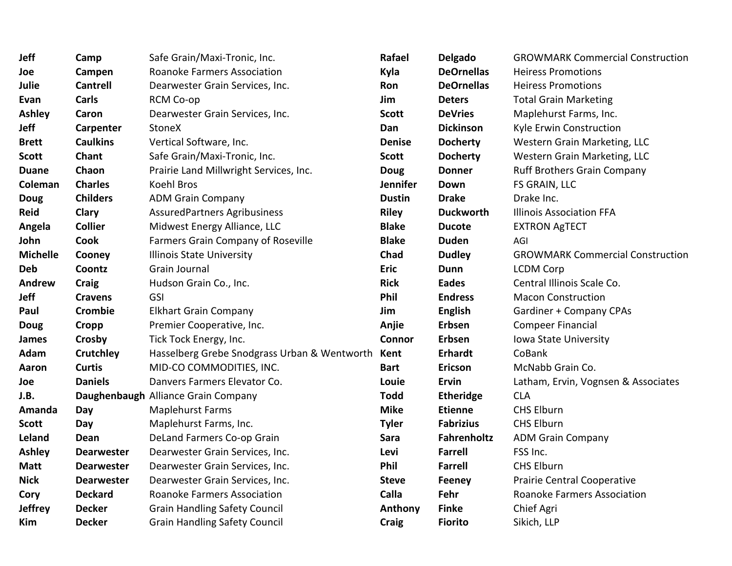| Jeff            | Camp              | Safe Grain/Maxi-Tronic, Inc.                 | Rafael          | <b>Delgado</b>    | <b>GROWMARK Commercial Construction</b> |
|-----------------|-------------------|----------------------------------------------|-----------------|-------------------|-----------------------------------------|
| Joe             | Campen            | <b>Roanoke Farmers Association</b>           | Kyla            | <b>DeOrnellas</b> | <b>Heiress Promotions</b>               |
| Julie           | <b>Cantrell</b>   | Dearwester Grain Services, Inc.              | Ron             | <b>DeOrnellas</b> | <b>Heiress Promotions</b>               |
| Evan            | <b>Carls</b>      | RCM Co-op                                    | Jim             | <b>Deters</b>     | <b>Total Grain Marketing</b>            |
| <b>Ashley</b>   | Caron             | Dearwester Grain Services, Inc.              | <b>Scott</b>    | <b>DeVries</b>    | Maplehurst Farms, Inc.                  |
| <b>Jeff</b>     | Carpenter         | <b>StoneX</b>                                | Dan             | <b>Dickinson</b>  | Kyle Erwin Construction                 |
| <b>Brett</b>    | <b>Caulkins</b>   | Vertical Software, Inc.                      | <b>Denise</b>   | <b>Docherty</b>   | Western Grain Marketing, LLC            |
| <b>Scott</b>    | Chant             | Safe Grain/Maxi-Tronic, Inc.                 | <b>Scott</b>    | <b>Docherty</b>   | Western Grain Marketing, LLC            |
| <b>Duane</b>    | Chaon             | Prairie Land Millwright Services, Inc.       | <b>Doug</b>     | <b>Donner</b>     | <b>Ruff Brothers Grain Company</b>      |
| Coleman         | <b>Charles</b>    | Koehl Bros                                   | <b>Jennifer</b> | Down              | FS GRAIN, LLC                           |
| <b>Doug</b>     | <b>Childers</b>   | <b>ADM Grain Company</b>                     | <b>Dustin</b>   | <b>Drake</b>      | Drake Inc.                              |
| Reid            | Clary             | <b>AssuredPartners Agribusiness</b>          | <b>Riley</b>    | <b>Duckworth</b>  | <b>Illinois Association FFA</b>         |
| Angela          | <b>Collier</b>    | Midwest Energy Alliance, LLC                 | <b>Blake</b>    | <b>Ducote</b>     | <b>EXTRON AgTECT</b>                    |
| John            | Cook              | Farmers Grain Company of Roseville           | <b>Blake</b>    | <b>Duden</b>      | AGI                                     |
| <b>Michelle</b> | Cooney            | Illinois State University                    | Chad            | <b>Dudley</b>     | <b>GROWMARK Commercial Construction</b> |
| <b>Deb</b>      | Coontz            | Grain Journal                                | <b>Eric</b>     | <b>Dunn</b>       | <b>LCDM Corp</b>                        |
| <b>Andrew</b>   | <b>Craig</b>      | Hudson Grain Co., Inc.                       | <b>Rick</b>     | <b>Eades</b>      | Central Illinois Scale Co.              |
| <b>Jeff</b>     | <b>Cravens</b>    | GSI                                          | Phil            | <b>Endress</b>    | <b>Macon Construction</b>               |
| Paul            | Crombie           | <b>Elkhart Grain Company</b>                 | Jim             | <b>English</b>    | Gardiner + Company CPAs                 |
| <b>Doug</b>     | Cropp             | Premier Cooperative, Inc.                    | Anjie           | Erbsen            | <b>Compeer Financial</b>                |
| James           | Crosby            | Tick Tock Energy, Inc.                       | <b>Connor</b>   | Erbsen            | Iowa State University                   |
| Adam            | <b>Crutchley</b>  | Hasselberg Grebe Snodgrass Urban & Wentworth | Kent            | <b>Erhardt</b>    | CoBank                                  |
| Aaron           | <b>Curtis</b>     | MID-CO COMMODITIES, INC.                     | <b>Bart</b>     | Ericson           | McNabb Grain Co.                        |
| Joe             | <b>Daniels</b>    | Danvers Farmers Elevator Co.                 | Louie           | <b>Ervin</b>      | Latham, Ervin, Vognsen & Associates     |
| J.B.            |                   | Daughenbaugh Alliance Grain Company          | <b>Todd</b>     | <b>Etheridge</b>  | <b>CLA</b>                              |
| Amanda          | Day               | <b>Maplehurst Farms</b>                      | <b>Mike</b>     | <b>Etienne</b>    | <b>CHS Elburn</b>                       |
| <b>Scott</b>    | Day               | Maplehurst Farms, Inc.                       | <b>Tyler</b>    | <b>Fabrizius</b>  | <b>CHS Elburn</b>                       |
| Leland          | Dean              | DeLand Farmers Co-op Grain                   | Sara            | Fahrenholtz       | <b>ADM Grain Company</b>                |
| <b>Ashley</b>   | <b>Dearwester</b> | Dearwester Grain Services, Inc.              | Levi            | <b>Farrell</b>    | FSS Inc.                                |
| <b>Matt</b>     | <b>Dearwester</b> | Dearwester Grain Services, Inc.              | Phil            | <b>Farrell</b>    | <b>CHS Elburn</b>                       |
| <b>Nick</b>     | <b>Dearwester</b> | Dearwester Grain Services, Inc.              | <b>Steve</b>    | <b>Feeney</b>     | Prairie Central Cooperative             |
| Cory            | <b>Deckard</b>    | <b>Roanoke Farmers Association</b>           | Calla           | Fehr              | <b>Roanoke Farmers Association</b>      |
| <b>Jeffrey</b>  | <b>Decker</b>     | <b>Grain Handling Safety Council</b>         | Anthony         | <b>Finke</b>      | Chief Agri                              |
| Kim             | <b>Decker</b>     | <b>Grain Handling Safety Council</b>         | <b>Craig</b>    | <b>Fiorito</b>    | Sikich, LLP                             |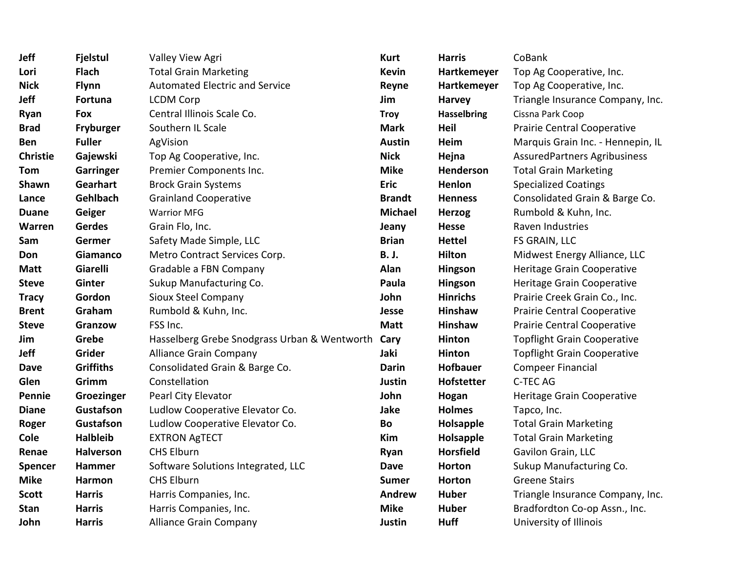| Jeff            | <b>Fjelstul</b>  | Valley View Agri                             | <b>Kurt</b>    | <b>Harris</b>      | CoBank                              |
|-----------------|------------------|----------------------------------------------|----------------|--------------------|-------------------------------------|
| Lori            | <b>Flach</b>     | <b>Total Grain Marketing</b>                 | <b>Kevin</b>   | Hartkemeyer        | Top Ag Cooperative, Inc.            |
| <b>Nick</b>     | <b>Flynn</b>     | <b>Automated Electric and Service</b>        | Reyne          | Hartkemeyer        | Top Ag Cooperative, Inc.            |
| <b>Jeff</b>     | <b>Fortuna</b>   | <b>LCDM Corp</b>                             | Jim            | Harvey             | Triangle Insurance Company, Inc.    |
| Ryan            | Fox              | Central Illinois Scale Co.                   | <b>Troy</b>    | <b>Hasselbring</b> | Cissna Park Coop                    |
| <b>Brad</b>     | Fryburger        | Southern IL Scale                            | <b>Mark</b>    | Heil               | Prairie Central Cooperative         |
| Ben             | <b>Fuller</b>    | AgVision                                     | <b>Austin</b>  | Heim               | Marquis Grain Inc. - Hennepin, IL   |
| <b>Christie</b> | Gajewski         | Top Ag Cooperative, Inc.                     | <b>Nick</b>    | Hejna              | <b>AssuredPartners Agribusiness</b> |
| Tom             | <b>Garringer</b> | Premier Components Inc.                      | <b>Mike</b>    | Henderson          | <b>Total Grain Marketing</b>        |
| Shawn           | Gearhart         | <b>Brock Grain Systems</b>                   | <b>Eric</b>    | Henlon             | <b>Specialized Coatings</b>         |
| Lance           | Gehlbach         | <b>Grainland Cooperative</b>                 | <b>Brandt</b>  | <b>Henness</b>     | Consolidated Grain & Barge Co.      |
| <b>Duane</b>    | Geiger           | <b>Warrior MFG</b>                           | <b>Michael</b> | <b>Herzog</b>      | Rumbold & Kuhn, Inc.                |
| Warren          | <b>Gerdes</b>    | Grain Flo, Inc.                              | Jeany          | <b>Hesse</b>       | Raven Industries                    |
| Sam             | Germer           | Safety Made Simple, LLC                      | <b>Brian</b>   | <b>Hettel</b>      | FS GRAIN, LLC                       |
| Don             | Giamanco         | Metro Contract Services Corp.                | <b>B. J.</b>   | <b>Hilton</b>      | Midwest Energy Alliance, LLC        |
| <b>Matt</b>     | Giarelli         | Gradable a FBN Company                       | Alan           | Hingson            | Heritage Grain Cooperative          |
| <b>Steve</b>    | Ginter           | Sukup Manufacturing Co.                      | Paula          | Hingson            | Heritage Grain Cooperative          |
| <b>Tracy</b>    | Gordon           | <b>Sioux Steel Company</b>                   | John           | <b>Hinrichs</b>    | Prairie Creek Grain Co., Inc.       |
| <b>Brent</b>    | Graham           | Rumbold & Kuhn, Inc.                         | Jesse          | Hinshaw            | Prairie Central Cooperative         |
| <b>Steve</b>    | Granzow          | FSS Inc.                                     | <b>Matt</b>    | Hinshaw            | <b>Prairie Central Cooperative</b>  |
| Jim             | Grebe            | Hasselberg Grebe Snodgrass Urban & Wentworth | Cary           | Hinton             | <b>Topflight Grain Cooperative</b>  |
| <b>Jeff</b>     | <b>Grider</b>    | <b>Alliance Grain Company</b>                | Jaki           | Hinton             | <b>Topflight Grain Cooperative</b>  |
| <b>Dave</b>     | <b>Griffiths</b> | Consolidated Grain & Barge Co.               | <b>Darin</b>   | <b>Hofbauer</b>    | <b>Compeer Financial</b>            |
| Glen            | Grimm            | Constellation                                | Justin         | Hofstetter         | C-TEC AG                            |
| Pennie          | Groezinger       | Pearl City Elevator                          | John           | Hogan              | Heritage Grain Cooperative          |
| <b>Diane</b>    | Gustafson        | Ludlow Cooperative Elevator Co.              | Jake           | <b>Holmes</b>      | Tapco, Inc.                         |
| Roger           | Gustafson        | Ludlow Cooperative Elevator Co.              | Bo             | Holsapple          | <b>Total Grain Marketing</b>        |
| Cole            | <b>Halbleib</b>  | <b>EXTRON AgTECT</b>                         | Kim            | Holsapple          | <b>Total Grain Marketing</b>        |
| Renae           | <b>Halverson</b> | <b>CHS Elburn</b>                            | Ryan           | <b>Horsfield</b>   | Gavilon Grain, LLC                  |
| <b>Spencer</b>  | <b>Hammer</b>    | Software Solutions Integrated, LLC           | <b>Dave</b>    | Horton             | Sukup Manufacturing Co.             |
| <b>Mike</b>     | Harmon           | <b>CHS Elburn</b>                            | <b>Sumer</b>   | Horton             | <b>Greene Stairs</b>                |
| <b>Scott</b>    | <b>Harris</b>    | Harris Companies, Inc.                       | Andrew         | <b>Huber</b>       | Triangle Insurance Company, Inc.    |
| <b>Stan</b>     | <b>Harris</b>    | Harris Companies, Inc.                       | <b>Mike</b>    | <b>Huber</b>       | Bradfordton Co-op Assn., Inc.       |
| John            | <b>Harris</b>    | <b>Alliance Grain Company</b>                | Justin         | <b>Huff</b>        | University of Illinois              |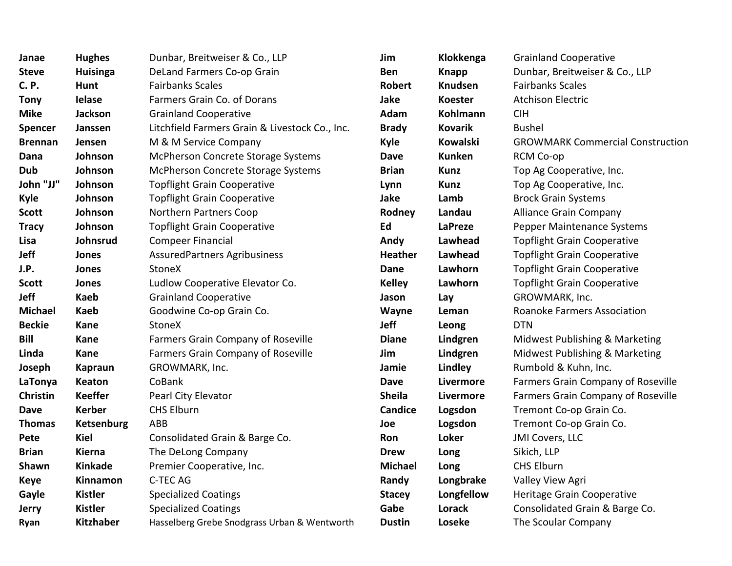| Janae          | <b>Hughes</b>     | Dunbar, Breitweiser & Co., LLP                 | Jim            | Klokkenga       | <b>Grainland Cooperative</b>            |
|----------------|-------------------|------------------------------------------------|----------------|-----------------|-----------------------------------------|
| <b>Steve</b>   | <b>Huisinga</b>   | DeLand Farmers Co-op Grain                     | Ben            | <b>Knapp</b>    | Dunbar, Breitweiser & Co., LLP          |
| <b>C.P.</b>    | <b>Hunt</b>       | <b>Fairbanks Scales</b>                        | <b>Robert</b>  | Knudsen         | <b>Fairbanks Scales</b>                 |
| <b>Tony</b>    | <b>Ielase</b>     | Farmers Grain Co. of Dorans                    | <b>Jake</b>    | <b>Koester</b>  | <b>Atchison Electric</b>                |
| <b>Mike</b>    | Jackson           | <b>Grainland Cooperative</b>                   | Adam           | Kohlmann        | <b>CIH</b>                              |
| <b>Spencer</b> | Janssen           | Litchfield Farmers Grain & Livestock Co., Inc. | <b>Brady</b>   | <b>Kovarik</b>  | <b>Bushel</b>                           |
| <b>Brennan</b> | Jensen            | M & M Service Company                          | <b>Kyle</b>    | <b>Kowalski</b> | <b>GROWMARK Commercial Construction</b> |
| Dana           | Johnson           | McPherson Concrete Storage Systems             | <b>Dave</b>    | <b>Kunken</b>   | RCM Co-op                               |
| <b>Dub</b>     | Johnson           | McPherson Concrete Storage Systems             | <b>Brian</b>   | <b>Kunz</b>     | Top Ag Cooperative, Inc.                |
| John "JJ"      | Johnson           | <b>Topflight Grain Cooperative</b>             | Lynn           | <b>Kunz</b>     | Top Ag Cooperative, Inc.                |
| Kyle           | Johnson           | <b>Topflight Grain Cooperative</b>             | Jake           | Lamb            | <b>Brock Grain Systems</b>              |
| <b>Scott</b>   | Johnson           | Northern Partners Coop                         | Rodney         | Landau          | <b>Alliance Grain Company</b>           |
| <b>Tracy</b>   | Johnson           | <b>Topflight Grain Cooperative</b>             | Ed             | LaPreze         | Pepper Maintenance Systems              |
| Lisa           | Johnsrud          | <b>Compeer Financial</b>                       | Andy           | Lawhead         | <b>Topflight Grain Cooperative</b>      |
| Jeff           | Jones             | AssuredPartners Agribusiness                   | <b>Heather</b> | Lawhead         | <b>Topflight Grain Cooperative</b>      |
| J.P.           | Jones             | StoneX                                         | Dane           | Lawhorn         | <b>Topflight Grain Cooperative</b>      |
| <b>Scott</b>   | Jones             | Ludlow Cooperative Elevator Co.                | <b>Kelley</b>  | Lawhorn         | <b>Topflight Grain Cooperative</b>      |
| <b>Jeff</b>    | <b>Kaeb</b>       | <b>Grainland Cooperative</b>                   | Jason          | Lay             | GROWMARK, Inc.                          |
| <b>Michael</b> | <b>Kaeb</b>       | Goodwine Co-op Grain Co.                       | Wayne          | Leman           | Roanoke Farmers Association             |
| <b>Beckie</b>  | <b>Kane</b>       | <b>StoneX</b>                                  | Jeff           | Leong           | <b>DTN</b>                              |
| Bill           | <b>Kane</b>       | Farmers Grain Company of Roseville             | <b>Diane</b>   | Lindgren        | Midwest Publishing & Marketing          |
| Linda          | <b>Kane</b>       | Farmers Grain Company of Roseville             | Jim            | Lindgren        | Midwest Publishing & Marketing          |
| Joseph         | <b>Kapraun</b>    | GROWMARK, Inc.                                 | Jamie          | Lindley         | Rumbold & Kuhn, Inc.                    |
| LaTonya        | Keaton            | CoBank                                         | <b>Dave</b>    | Livermore       | Farmers Grain Company of Roseville      |
| Christin       | <b>Keeffer</b>    | Pearl City Elevator                            | <b>Sheila</b>  | Livermore       | Farmers Grain Company of Roseville      |
| <b>Dave</b>    | <b>Kerber</b>     | <b>CHS Elburn</b>                              | <b>Candice</b> | Logsdon         | Tremont Co-op Grain Co.                 |
| <b>Thomas</b>  | <b>Ketsenburg</b> | <b>ABB</b>                                     | Joe            | Logsdon         | Tremont Co-op Grain Co.                 |
| Pete           | <b>Kiel</b>       | Consolidated Grain & Barge Co.                 | Ron            | Loker           | JMI Covers, LLC                         |
| <b>Brian</b>   | Kierna            | The DeLong Company                             | <b>Drew</b>    | Long            | Sikich, LLP                             |
| <b>Shawn</b>   | <b>Kinkade</b>    | Premier Cooperative, Inc.                      | <b>Michael</b> | Long            | CHS Elburn                              |
| <b>Keye</b>    | Kinnamon          | C-TEC AG                                       | Randy          | Longbrake       | Valley View Agri                        |
| Gayle          | <b>Kistler</b>    | <b>Specialized Coatings</b>                    | <b>Stacey</b>  | Longfellow      | Heritage Grain Cooperative              |
| Jerry          | <b>Kistler</b>    | <b>Specialized Coatings</b>                    | Gabe           | Lorack          | Consolidated Grain & Barge Co.          |
| Ryan           | <b>Kitzhaber</b>  | Hasselberg Grebe Snodgrass Urban & Wentworth   | <b>Dustin</b>  | Loseke          | The Scoular Company                     |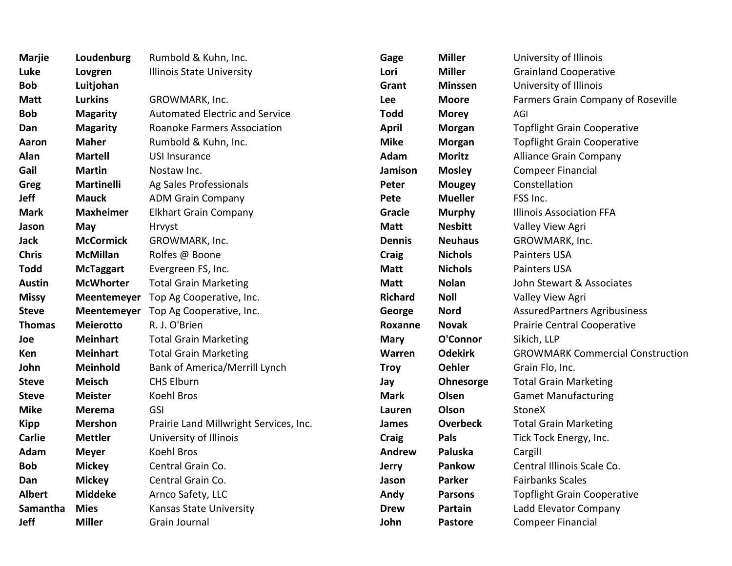| Marjie        | Loudenburg        | Rumbold & Kuhn, Inc.                        | Gage           | <b>Miller</b>   | University of Illinois                  |
|---------------|-------------------|---------------------------------------------|----------------|-----------------|-----------------------------------------|
| Luke          | Lovgren           | Illinois State University                   | Lori           | <b>Miller</b>   | <b>Grainland Cooperative</b>            |
| Bob           | Luitjohan         |                                             | Grant          | <b>Minssen</b>  | University of Illinois                  |
| Matt          | <b>Lurkins</b>    | GROWMARK, Inc.                              | Lee            | <b>Moore</b>    | Farmers Grain Company of Roseville      |
| Bob           | <b>Magarity</b>   | <b>Automated Electric and Service</b>       | <b>Todd</b>    | <b>Morey</b>    | AGI                                     |
| Dan           | <b>Magarity</b>   | <b>Roanoke Farmers Association</b>          | <b>April</b>   | <b>Morgan</b>   | <b>Topflight Grain Cooperative</b>      |
| Aaron         | <b>Maher</b>      | Rumbold & Kuhn, Inc.                        | <b>Mike</b>    | <b>Morgan</b>   | <b>Topflight Grain Cooperative</b>      |
| Alan          | <b>Martell</b>    | <b>USI Insurance</b>                        | Adam           | <b>Moritz</b>   | <b>Alliance Grain Company</b>           |
| Gail          | <b>Martin</b>     | Nostaw Inc.                                 | Jamison        | <b>Mosley</b>   | <b>Compeer Financial</b>                |
| Greg          | <b>Martinelli</b> | Ag Sales Professionals                      | Peter          | <b>Mougey</b>   | Constellation                           |
| Jeff          | <b>Mauck</b>      | <b>ADM Grain Company</b>                    | Pete           | <b>Mueller</b>  | FSS Inc.                                |
| Mark          | <b>Maxheimer</b>  | <b>Elkhart Grain Company</b>                | Gracie         | <b>Murphy</b>   | <b>Illinois Association FFA</b>         |
| Jason         | May               | Hrvyst                                      | <b>Matt</b>    | <b>Nesbitt</b>  | Valley View Agri                        |
| Jack          | <b>McCormick</b>  | GROWMARK, Inc.                              | <b>Dennis</b>  | <b>Neuhaus</b>  | GROWMARK, Inc.                          |
| Chris         | <b>McMillan</b>   | Rolfes @ Boone                              | <b>Craig</b>   | <b>Nichols</b>  | Painters USA                            |
| Todd          | <b>McTaggart</b>  | Evergreen FS, Inc.                          | <b>Matt</b>    | <b>Nichols</b>  | Painters USA                            |
| Austin        | <b>McWhorter</b>  | <b>Total Grain Marketing</b>                | <b>Matt</b>    | <b>Nolan</b>    | John Stewart & Associates               |
| Missy         |                   | Meentemeyer Top Ag Cooperative, Inc.        | <b>Richard</b> | <b>Noll</b>     | Valley View Agri                        |
| Steve         |                   | <b>Meentemeyer</b> Top Ag Cooperative, Inc. | George         | <b>Nord</b>     | <b>AssuredPartners Agribusiness</b>     |
| Thomas        | <b>Meierotto</b>  | R. J. O'Brien                               | Roxanne        | <b>Novak</b>    | Prairie Central Cooperative             |
| Joe           | <b>Meinhart</b>   | <b>Total Grain Marketing</b>                | <b>Mary</b>    | O'Connor        | Sikich, LLP                             |
| Ken           | <b>Meinhart</b>   | <b>Total Grain Marketing</b>                | Warren         | <b>Odekirk</b>  | <b>GROWMARK Commercial Construction</b> |
| John          | Meinhold          | <b>Bank of America/Merrill Lynch</b>        | <b>Troy</b>    | <b>Oehler</b>   | Grain Flo, Inc.                         |
| Steve         | <b>Meisch</b>     | <b>CHS Elburn</b>                           | Jay            | Ohnesorge       | <b>Total Grain Marketing</b>            |
| Steve         | <b>Meister</b>    | Koehl Bros                                  | <b>Mark</b>    | Olsen           | <b>Gamet Manufacturing</b>              |
| Mike          | <b>Merema</b>     | <b>GSI</b>                                  | Lauren         | Olson           | StoneX                                  |
| Kipp          | <b>Mershon</b>    | Prairie Land Millwright Services, Inc.      | James          | <b>Overbeck</b> | <b>Total Grain Marketing</b>            |
| <b>Carlie</b> | <b>Mettler</b>    | University of Illinois                      | Craig          | Pals            | Tick Tock Energy, Inc.                  |
| Adam          | <b>Meyer</b>      | Koehl Bros                                  | Andrew         | Paluska         | Cargill                                 |
| Bob           | <b>Mickey</b>     | Central Grain Co.                           | <b>Jerry</b>   | Pankow          | Central Illinois Scale Co.              |
| Dan           | <b>Mickey</b>     | Central Grain Co.                           | Jason          | <b>Parker</b>   | <b>Fairbanks Scales</b>                 |
| Albert        | <b>Middeke</b>    | Arnco Safety, LLC                           | Andy           | <b>Parsons</b>  | <b>Topflight Grain Cooperative</b>      |
| Samantha      | <b>Mies</b>       | Kansas State University                     | <b>Drew</b>    | Partain         | Ladd Elevator Company                   |
| Jeff          | <b>Miller</b>     | Grain Journal                               | John           | Pastore         | <b>Compeer Financial</b>                |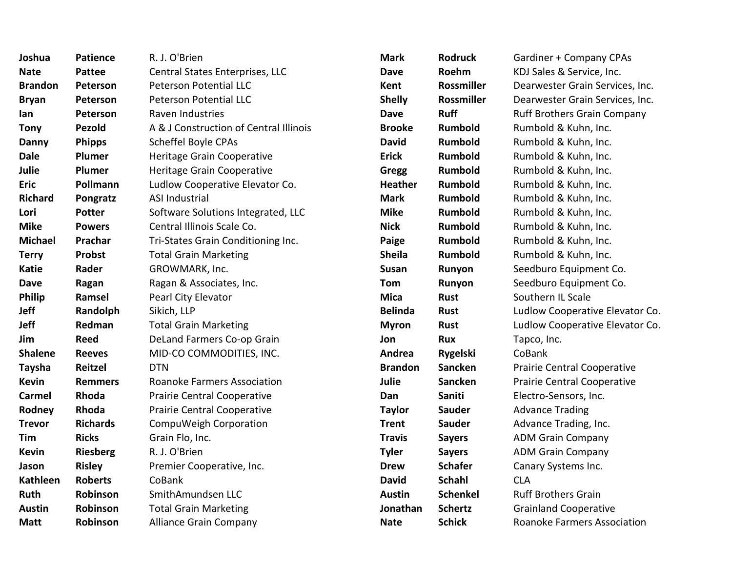| Joshua          | <b>Patience</b> | R. J. O'Brien                          | <b>Mark</b>    | <b>Rodruck</b>  | Gardiner + Company CPAs            |
|-----------------|-----------------|----------------------------------------|----------------|-----------------|------------------------------------|
| <b>Nate</b>     | <b>Pattee</b>   | Central States Enterprises, LLC        | <b>Dave</b>    | Roehm           | KDJ Sales & Service, Inc.          |
| <b>Brandon</b>  | Peterson        | <b>Peterson Potential LLC</b>          | Kent           | Rossmiller      | Dearwester Grain Services, Inc.    |
| <b>Bryan</b>    | Peterson        | Peterson Potential LLC                 | <b>Shelly</b>  | Rossmiller      | Dearwester Grain Services, Inc.    |
| lan             | <b>Peterson</b> | Raven Industries                       | <b>Dave</b>    | <b>Ruff</b>     | <b>Ruff Brothers Grain Company</b> |
| Tony            | Pezold          | A & J Construction of Central Illinois | <b>Brooke</b>  | Rumbold         | Rumbold & Kuhn, Inc.               |
| Danny           | <b>Phipps</b>   | Scheffel Boyle CPAs                    | <b>David</b>   | Rumbold         | Rumbold & Kuhn, Inc.               |
| <b>Dale</b>     | Plumer          | Heritage Grain Cooperative             | <b>Erick</b>   | Rumbold         | Rumbold & Kuhn, Inc.               |
| Julie           | Plumer          | Heritage Grain Cooperative             | Gregg          | Rumbold         | Rumbold & Kuhn, Inc.               |
| Eric            | Pollmann        | Ludlow Cooperative Elevator Co.        | <b>Heather</b> | Rumbold         | Rumbold & Kuhn, Inc.               |
| <b>Richard</b>  | Pongratz        | <b>ASI Industrial</b>                  | <b>Mark</b>    | Rumbold         | Rumbold & Kuhn, Inc.               |
| Lori            | <b>Potter</b>   | Software Solutions Integrated, LLC     | <b>Mike</b>    | Rumbold         | Rumbold & Kuhn, Inc.               |
| <b>Mike</b>     | <b>Powers</b>   | Central Illinois Scale Co.             | <b>Nick</b>    | Rumbold         | Rumbold & Kuhn, Inc.               |
| <b>Michael</b>  | Prachar         | Tri-States Grain Conditioning Inc.     | Paige          | Rumbold         | Rumbold & Kuhn, Inc.               |
| Terry           | <b>Probst</b>   | <b>Total Grain Marketing</b>           | <b>Sheila</b>  | Rumbold         | Rumbold & Kuhn, Inc.               |
| Katie           | Rader           | GROWMARK, Inc.                         | Susan          | Runyon          | Seedburo Equipment Co.             |
| <b>Dave</b>     | Ragan           | Ragan & Associates, Inc.               | <b>Tom</b>     | Runyon          | Seedburo Equipment Co.             |
| Philip          | Ramsel          | Pearl City Elevator                    | <b>Mica</b>    | <b>Rust</b>     | Southern IL Scale                  |
| Jeff            | Randolph        | Sikich, LLP                            | <b>Belinda</b> | <b>Rust</b>     | Ludlow Cooperative Elevator Co.    |
| Jeff            | Redman          | <b>Total Grain Marketing</b>           | <b>Myron</b>   | <b>Rust</b>     | Ludlow Cooperative Elevator Co.    |
| Jim             | <b>Reed</b>     | DeLand Farmers Co-op Grain             | Jon            | <b>Rux</b>      | Tapco, Inc.                        |
| <b>Shalene</b>  | <b>Reeves</b>   | MID-CO COMMODITIES, INC.               | Andrea         | <b>Rygelski</b> | CoBank                             |
| <b>Taysha</b>   | <b>Reitzel</b>  | <b>DTN</b>                             | <b>Brandon</b> | Sancken         | Prairie Central Cooperative        |
| Kevin           | <b>Remmers</b>  | <b>Roanoke Farmers Association</b>     | Julie          | Sancken         | Prairie Central Cooperative        |
| Carmel          | Rhoda           | Prairie Central Cooperative            | Dan            | Saniti          | Electro-Sensors, Inc.              |
| Rodney          | Rhoda           | <b>Prairie Central Cooperative</b>     | <b>Taylor</b>  | <b>Sauder</b>   | <b>Advance Trading</b>             |
| <b>Trevor</b>   | <b>Richards</b> | CompuWeigh Corporation                 | <b>Trent</b>   | <b>Sauder</b>   | Advance Trading, Inc.              |
| Tim             | <b>Ricks</b>    | Grain Flo, Inc.                        | <b>Travis</b>  | <b>Sayers</b>   | <b>ADM Grain Company</b>           |
| Kevin           | <b>Riesberg</b> | R. J. O'Brien                          | <b>Tyler</b>   | <b>Sayers</b>   | <b>ADM Grain Company</b>           |
| Jason           | <b>Risley</b>   | Premier Cooperative, Inc.              | <b>Drew</b>    | <b>Schafer</b>  | Canary Systems Inc.                |
| <b>Kathleen</b> | <b>Roberts</b>  | CoBank                                 | <b>David</b>   | <b>Schahl</b>   | <b>CLA</b>                         |
| Ruth            | Robinson        | SmithAmundsen LLC                      | <b>Austin</b>  | <b>Schenkel</b> | <b>Ruff Brothers Grain</b>         |
| Austin          | Robinson        | <b>Total Grain Marketing</b>           | Jonathan       | <b>Schertz</b>  | <b>Grainland Cooperative</b>       |
| Matt            | Robinson        | <b>Alliance Grain Company</b>          | <b>Nate</b>    | <b>Schick</b>   | <b>Roanoke Farmers Association</b> |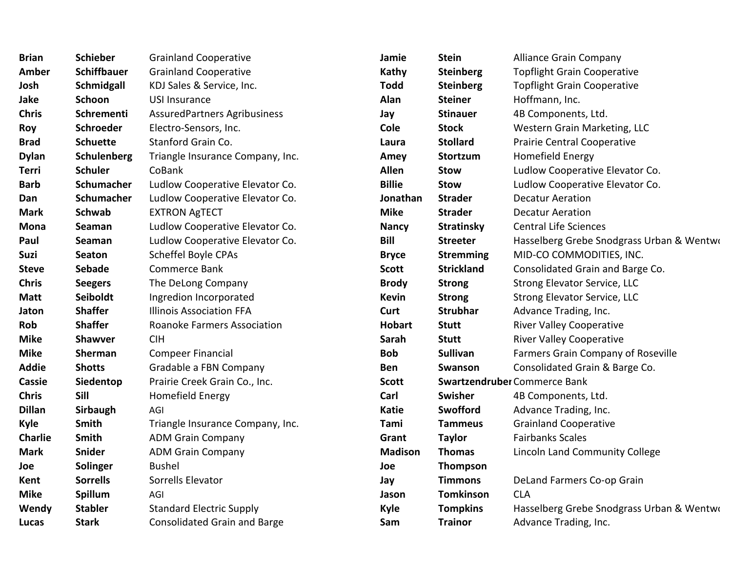| <b>Brian</b>  | <b>Schieber</b>    | <b>Grainland Cooperative</b>        | Jamie          | <b>Stein</b>      | <b>Alliance Grain Company</b>             |
|---------------|--------------------|-------------------------------------|----------------|-------------------|-------------------------------------------|
| Amber         | <b>Schiffbauer</b> | <b>Grainland Cooperative</b>        | Kathy          | <b>Steinberg</b>  | <b>Topflight Grain Cooperative</b>        |
| Josh          | Schmidgall         | KDJ Sales & Service, Inc.           | <b>Todd</b>    | <b>Steinberg</b>  | <b>Topflight Grain Cooperative</b>        |
| Jake          | Schoon             | <b>USI Insurance</b>                | Alan           | <b>Steiner</b>    | Hoffmann, Inc.                            |
| <b>Chris</b>  | Schrementi         | <b>AssuredPartners Agribusiness</b> | Jay            | <b>Stinauer</b>   | 4B Components, Ltd.                       |
| Roy           | <b>Schroeder</b>   | Electro-Sensors, Inc.               | <b>Cole</b>    | <b>Stock</b>      | Western Grain Marketing, LLC              |
| <b>Brad</b>   | <b>Schuette</b>    | Stanford Grain Co.                  | Laura          | <b>Stollard</b>   | <b>Prairie Central Cooperative</b>        |
| <b>Dylan</b>  | Schulenberg        | Triangle Insurance Company, Inc.    | Amey           | <b>Stortzum</b>   | Homefield Energy                          |
| Terri         | <b>Schuler</b>     | CoBank                              | <b>Allen</b>   | <b>Stow</b>       | Ludlow Cooperative Elevator Co.           |
| <b>Barb</b>   | Schumacher         | Ludlow Cooperative Elevator Co.     | <b>Billie</b>  | <b>Stow</b>       | Ludlow Cooperative Elevator Co.           |
| Dan           | Schumacher         | Ludlow Cooperative Elevator Co.     | Jonathan       | <b>Strader</b>    | <b>Decatur Aeration</b>                   |
| <b>Mark</b>   | <b>Schwab</b>      | <b>EXTRON AgTECT</b>                | <b>Mike</b>    | <b>Strader</b>    | <b>Decatur Aeration</b>                   |
| <b>Mona</b>   | Seaman             | Ludlow Cooperative Elevator Co.     | <b>Nancy</b>   | <b>Stratinsky</b> | <b>Central Life Sciences</b>              |
| Paul          | Seaman             | Ludlow Cooperative Elevator Co.     | Bill           | <b>Streeter</b>   | Hasselberg Grebe Snodgrass Urban & Wentwo |
| Suzi          | <b>Seaton</b>      | Scheffel Boyle CPAs                 | <b>Bryce</b>   | <b>Stremming</b>  | MID-CO COMMODITIES, INC.                  |
| <b>Steve</b>  | <b>Sebade</b>      | Commerce Bank                       | <b>Scott</b>   | <b>Strickland</b> | Consolidated Grain and Barge Co.          |
| <b>Chris</b>  | <b>Seegers</b>     | The DeLong Company                  | <b>Brody</b>   | <b>Strong</b>     | <b>Strong Elevator Service, LLC</b>       |
| <b>Matt</b>   | Seiboldt           | Ingredion Incorporated              | <b>Kevin</b>   | <b>Strong</b>     | <b>Strong Elevator Service, LLC</b>       |
| Jaton         | <b>Shaffer</b>     | <b>Illinois Association FFA</b>     | Curt           | <b>Strubhar</b>   | Advance Trading, Inc.                     |
| <b>Rob</b>    | <b>Shaffer</b>     | <b>Roanoke Farmers Association</b>  | <b>Hobart</b>  | <b>Stutt</b>      | <b>River Valley Cooperative</b>           |
| <b>Mike</b>   | <b>Shawver</b>     | <b>CIH</b>                          | Sarah          | <b>Stutt</b>      | <b>River Valley Cooperative</b>           |
| <b>Mike</b>   | Sherman            | <b>Compeer Financial</b>            | <b>Bob</b>     | <b>Sullivan</b>   | Farmers Grain Company of Roseville        |
| <b>Addie</b>  | <b>Shotts</b>      | Gradable a FBN Company              | <b>Ben</b>     | Swanson           | Consolidated Grain & Barge Co.            |
| Cassie        | Siedentop          | Prairie Creek Grain Co., Inc.       | <b>Scott</b>   |                   | Swartzendruber Commerce Bank              |
| <b>Chris</b>  | Sill               | Homefield Energy                    | Carl           | Swisher           | 4B Components, Ltd.                       |
| <b>Dillan</b> | Sirbaugh           | AGI                                 | <b>Katie</b>   | Swofford          | Advance Trading, Inc.                     |
| Kyle          | Smith              | Triangle Insurance Company, Inc.    | Tami           | <b>Tammeus</b>    | <b>Grainland Cooperative</b>              |
| Charlie       | Smith              | <b>ADM Grain Company</b>            | Grant          | <b>Taylor</b>     | <b>Fairbanks Scales</b>                   |
| <b>Mark</b>   | Snider             | <b>ADM Grain Company</b>            | <b>Madison</b> | <b>Thomas</b>     | Lincoln Land Community College            |
| Joe           | Solinger           | <b>Bushel</b>                       | Joe            | Thompson          |                                           |
| Kent          | <b>Sorrells</b>    | Sorrells Elevator                   | Jay            | <b>Timmons</b>    | DeLand Farmers Co-op Grain                |
| <b>Mike</b>   | Spillum            | AGI                                 | Jason          | <b>Tomkinson</b>  | <b>CLA</b>                                |
| Wendy         | <b>Stabler</b>     | <b>Standard Electric Supply</b>     | <b>Kyle</b>    | <b>Tompkins</b>   | Hasselberg Grebe Snodgrass Urban & Wentwo |
| Lucas         | <b>Stark</b>       | <b>Consolidated Grain and Barge</b> | Sam            | <b>Trainor</b>    | Advance Trading, Inc.                     |